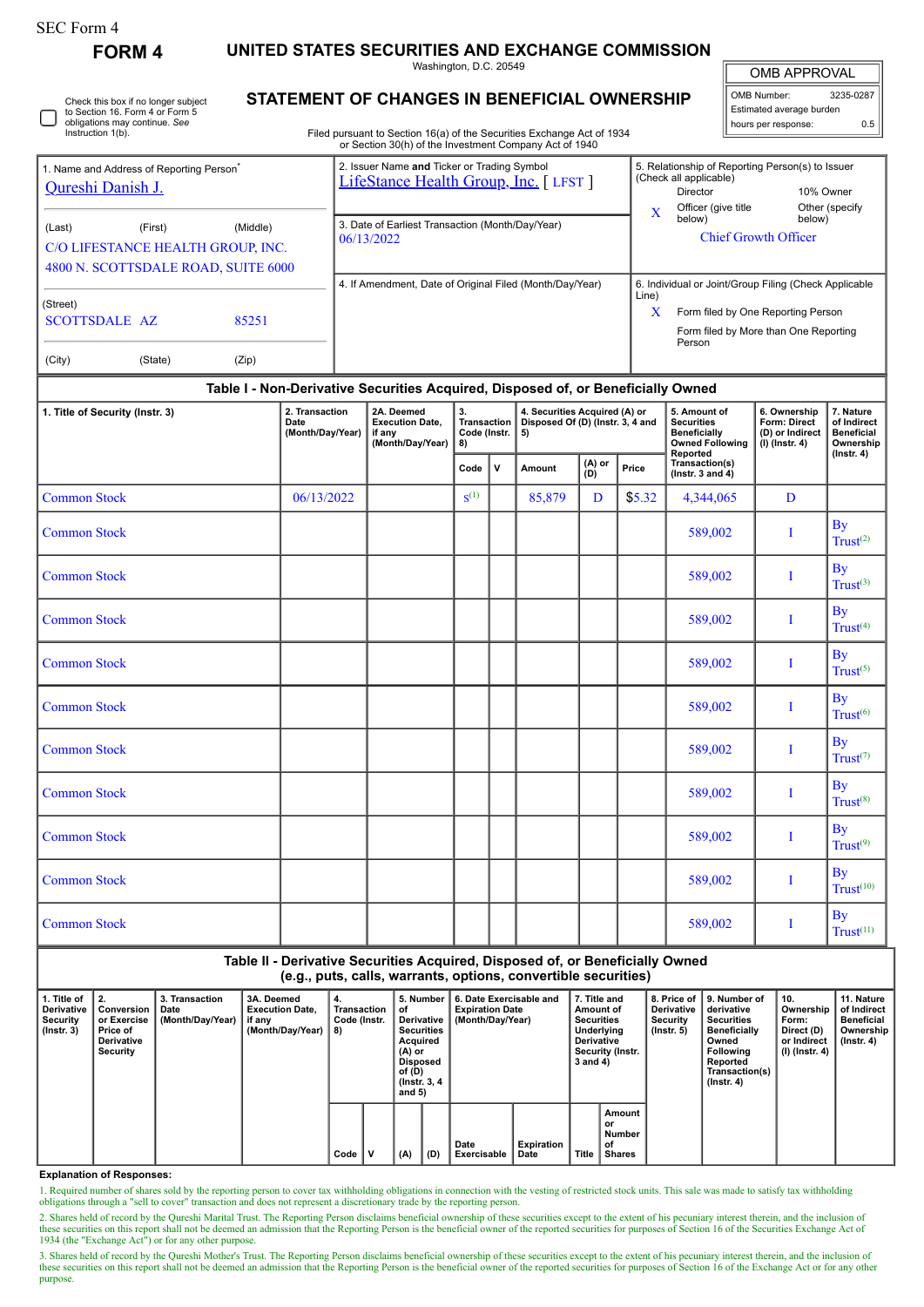| SEC Form 4 |  |
|------------|--|
|------------|--|

Check this box if no longer subject to Section 16. Form 4 or Form 5 obligations may continue. *See*

**FORM 4 UNITED STATES SECURITIES AND EXCHANGE COMMISSION**

Washington, D.C. 20549

OMB APPROVAL

 $0.5$ 

|                                              | _ _ _       |           |                          |     |
|----------------------------------------------|-------------|-----------|--------------------------|-----|
| STATEMENT OF CHANGES IN BENEFICIAL OWNERSHIP | OMB Number: | 3235-0287 |                          |     |
|                                              |             |           | Estimated average burden |     |
|                                              |             |           | hours per response:      | 0.5 |

 $\mathbb{I}$ 

| Instruction 1(b).                                                         |                                              |                                                 | Filed pursuant to Section 16(a) of the Securities Exchange Act of 1934<br>or Section 30(h) of the Investment Company Act of 1940 |                                                                                                                               | nours por response.                | ∪.∪ ∣                                                                                          |
|---------------------------------------------------------------------------|----------------------------------------------|-------------------------------------------------|----------------------------------------------------------------------------------------------------------------------------------|-------------------------------------------------------------------------------------------------------------------------------|------------------------------------|------------------------------------------------------------------------------------------------|
| 1. Name and Address of Reporting Person <sup>®</sup><br>Qureshi Danish J. |                                              |                                                 | 2. Issuer Name and Ticker or Trading Symbol<br>LifeStance Health Group, Inc. [LFST]                                              | 5. Relationship of Reporting Person(s) to Issuer<br>(Check all applicable)<br>Director<br>Officer (give title)<br>$\mathbf x$ |                                    | 10% Owner<br>Other (specify)                                                                   |
| (Last)                                                                    | (First)<br>C/O LIFESTANCE HEALTH GROUP, INC. | (Middle)<br>4800 N. SCOTTSDALE ROAD, SUITE 6000 | 3. Date of Earliest Transaction (Month/Day/Year)<br>06/13/2022                                                                   | below)                                                                                                                        | <b>Chief Growth Officer</b>        | below)                                                                                         |
| (Street)<br><b>SCOTTSDALE AZ</b><br>(City)                                | (State)                                      | 85251<br>(Zip)                                  | 4. If Amendment, Date of Original Filed (Month/Day/Year)                                                                         | Line)<br>X<br>Person                                                                                                          | Form filed by One Reporting Person | 6. Individual or Joint/Group Filing (Check Applicable<br>Form filed by More than One Reporting |

## **Table I - Non-Derivative Securities Acquired, Disposed of, or Beneficially Owned**

| 1. Title of Security (Instr. 3) | 2. Transaction<br>Date<br>(Month/Day/Year) | 2A. Deemed<br><b>Execution Date,</b><br>if any<br>(Month/Day/Year) | 3.<br>Transaction<br>Code (Instr.<br>8) |     | 4. Securities Acquired (A) or<br>Disposed Of (D) (Instr. 3, 4 and<br>5) |               |        | 5. Amount of<br><b>Securities</b><br><b>Beneficially</b><br><b>Owned Following</b><br>Reported | 6. Ownership<br>Form: Direct<br>(D) or Indirect<br>$(1)$ (Instr. 4) | 7. Nature<br>of Indirect<br><b>Beneficial</b><br>Ownership<br>$($ lnstr. 4 $)$ |
|---------------------------------|--------------------------------------------|--------------------------------------------------------------------|-----------------------------------------|-----|-------------------------------------------------------------------------|---------------|--------|------------------------------------------------------------------------------------------------|---------------------------------------------------------------------|--------------------------------------------------------------------------------|
|                                 |                                            |                                                                    | Code                                    | l v | <b>Amount</b>                                                           | (A) or<br>(D) | Price  | Transaction(s)<br>(Instr. $3$ and $4$ )                                                        |                                                                     |                                                                                |
| <b>Common Stock</b>             | 06/13/2022                                 |                                                                    | $S^{(1)}$                               |     | 85,879                                                                  | D             | \$5.32 | 4,344,065                                                                                      | D                                                                   |                                                                                |
| <b>Common Stock</b>             |                                            |                                                                    |                                         |     |                                                                         |               |        | 589,002                                                                                        | I                                                                   | <b>By</b><br>Trust <sup>(2)</sup>                                              |
| <b>Common Stock</b>             |                                            |                                                                    |                                         |     |                                                                         |               |        | 589,002                                                                                        | I                                                                   | <b>By</b><br>Trust <sup>(3)</sup>                                              |
| <b>Common Stock</b>             |                                            |                                                                    |                                         |     |                                                                         |               |        | 589,002                                                                                        | $\bf{I}$                                                            | By<br>Trust <sup>(4)</sup>                                                     |
| <b>Common Stock</b>             |                                            |                                                                    |                                         |     |                                                                         |               |        | 589,002                                                                                        | I                                                                   | By<br>Trust <sup>(5)</sup>                                                     |
| <b>Common Stock</b>             |                                            |                                                                    |                                         |     |                                                                         |               |        | 589,002                                                                                        | $\bf{I}$                                                            | By<br>Trust <sup>(6)</sup>                                                     |
| <b>Common Stock</b>             |                                            |                                                                    |                                         |     |                                                                         |               |        | 589,002                                                                                        | I                                                                   | <b>By</b><br>Trust <sup>(7)</sup>                                              |
| <b>Common Stock</b>             |                                            |                                                                    |                                         |     |                                                                         |               |        | 589,002                                                                                        | I                                                                   | By<br>Trust <sup>(8)</sup>                                                     |
| <b>Common Stock</b>             |                                            |                                                                    |                                         |     |                                                                         |               |        | 589,002                                                                                        | I                                                                   | By<br>Trust <sup>(9)</sup>                                                     |
| <b>Common Stock</b>             |                                            |                                                                    |                                         |     |                                                                         |               |        | 589,002                                                                                        | Ι                                                                   | By<br>Trust <sup>(10)</sup>                                                    |
| <b>Common Stock</b>             |                                            |                                                                    |                                         |     |                                                                         |               |        | 589,002                                                                                        | I                                                                   | By<br>Trust <sup>(11)</sup>                                                    |

|                                                                | Table II - Derivative Securities Acquired, Disposed of, or Beneficially Owned |  |  |  |  |  |  |  |  |  |
|----------------------------------------------------------------|-------------------------------------------------------------------------------|--|--|--|--|--|--|--|--|--|
| (e.g., puts, calls, warrants, options, convertible securities) |                                                                               |  |  |  |  |  |  |  |  |  |
|                                                                |                                                                               |  |  |  |  |  |  |  |  |  |

| 1. Title of<br>Derivative<br>Security<br>$($ lnstr. 3 $)$ | <b>12.</b><br>Conversion<br>or Exercise<br>Price of<br>Derivative<br>Security | 3. Transaction<br>Date<br>(Month/Day/Year) | 3A. Deemed<br><b>Execution Date.</b><br>if any<br>(Month/Day/Year) | 4.<br>Transaction<br>Code (Instr.<br>8) |   | 5. Number<br>оf<br>Derivative<br><b>Securities</b><br>Acquired<br>(A) or<br>Disposed<br>of (D)<br>(Instr. 3, 4)<br>and $5)$ |     |                     |                    | 6. Date Exercisable and<br><b>Expiration Date</b><br>(Month/Day/Year) |                                               | 7. Title and<br>Amount of<br><b>Securities</b><br>Underlying<br>Derivative<br>Security (Instr.<br>3 and 4) |  | <b>Derivative</b><br>Security<br>$($ lnstr. 5 $)$ | 8. Price of 19. Number of<br>derivative<br><b>Securities</b><br><b>Beneficially</b><br>Owned<br>Following<br>Reported<br>Transaction(s)<br>$($ Instr. 4 $)$ | 10.<br>Ownership<br>Form:<br>Direct (D)<br>or Indirect<br>(I) (Instr. 4) | 11. Nature<br>of Indirect<br>Beneficial<br>Ownership<br>(Instr. 4) |
|-----------------------------------------------------------|-------------------------------------------------------------------------------|--------------------------------------------|--------------------------------------------------------------------|-----------------------------------------|---|-----------------------------------------------------------------------------------------------------------------------------|-----|---------------------|--------------------|-----------------------------------------------------------------------|-----------------------------------------------|------------------------------------------------------------------------------------------------------------|--|---------------------------------------------------|-------------------------------------------------------------------------------------------------------------------------------------------------------------|--------------------------------------------------------------------------|--------------------------------------------------------------------|
|                                                           |                                                                               |                                            |                                                                    | Code                                    | ν | (A)                                                                                                                         | (D) | Date<br>Exercisable | Expiration<br>Date | Title                                                                 | Amount<br>or<br>Number<br>of<br><b>Shares</b> |                                                                                                            |  |                                                   |                                                                                                                                                             |                                                                          |                                                                    |

## **Explanation of Responses:**

1. Required number of shares sold by the reporting person to cover tax withholding obligations in connection with the vesting of restricted stock units. This sale was made to satisfy tax withholding obligations through a "

2. Shares held of record by the Qureshi Marital Trust. The Reporting Person disclaims beneficial ownership of these securities except to the extent of his pecuniary interest therein, and the inclusion of these securities on this report shall not be deemed an admission that the Reporting Person is the beneficial owner of the reported securities for purposes of Section 16 of the Securities Exchange Act of 1934 (the "Exchange Act") or for any other purpose.

3. Shares held of record by the Qureshi Mother's Trust. The Reporting Person disclaims beneficial ownership of these securities except to the extent of his pecuniary interest therein, and the inclusion of these securities on this report shall not be deemed an admission that the Reporting Person is the beneficial owner of the reported securities for purposes of Section 16 of the Exchange Act or for any other these securities purpose.